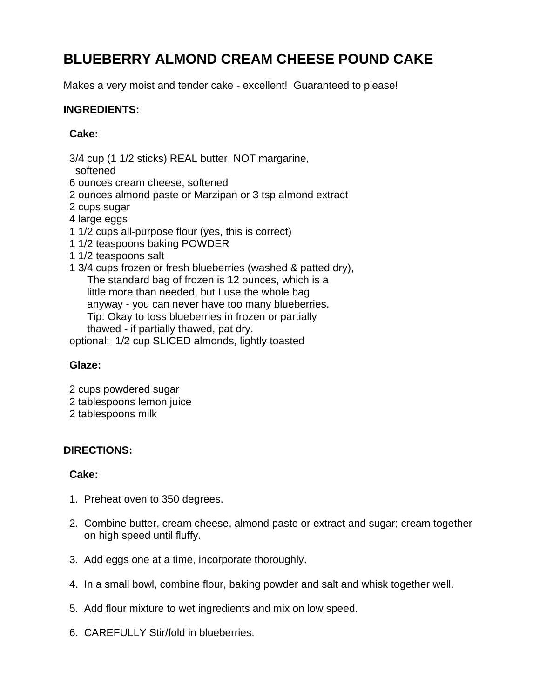# **BLUEBERRY ALMOND CREAM CHEESE POUND CAKE**

Makes a very moist and tender cake - excellent! Guaranteed to please!

#### **INGREDIENTS:**

#### **Cake:**

3/4 cup (1 1/2 sticks) REAL butter, NOT margarine,

softened

6 ounces cream cheese, softened

- 2 ounces almond paste or Marzipan or 3 tsp almond extract
- 2 cups sugar
- 4 large eggs
- 1 1/2 cups all-purpose flour (yes, this is correct)
- 1 1/2 teaspoons baking POWDER
- 1 1/2 teaspoons salt
- 1 3/4 cups frozen or fresh blueberries (washed & patted dry), The standard bag of frozen is 12 ounces, which is a little more than needed, but I use the whole bag anyway - you can never have too many blueberries. Tip: Okay to toss blueberries in frozen or partially thawed - if partially thawed, pat dry.

optional: 1/2 cup SLICED almonds, lightly toasted

## **Glaze:**

- 2 cups powdered sugar
- 2 tablespoons lemon juice
- 2 tablespoons milk

## **DIRECTIONS:**

## **Cake:**

- 1. Preheat oven to 350 degrees.
- 2. Combine butter, cream cheese, almond paste or extract and sugar; cream together on high speed until fluffy.
- 3. Add eggs one at a time, incorporate thoroughly.
- 4. In a small bowl, combine flour, baking powder and salt and whisk together well.
- 5. Add flour mixture to wet ingredients and mix on low speed.
- 6. CAREFULLY Stir/fold in blueberries.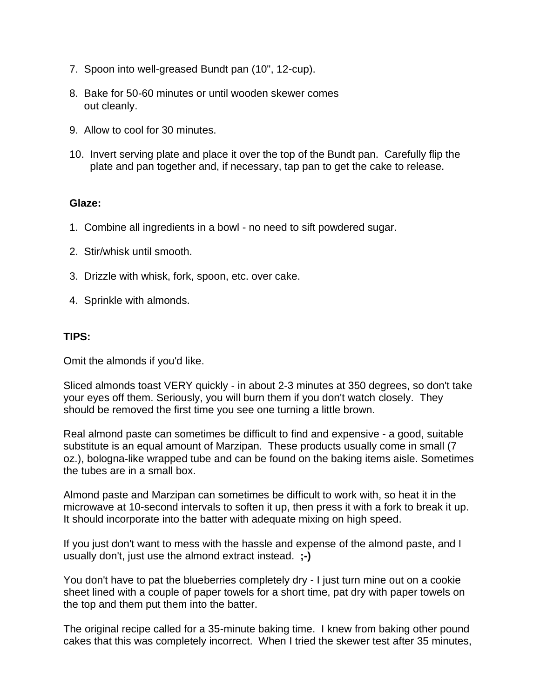- 7. Spoon into well-greased Bundt pan (10", 12-cup).
- 8. Bake for 50-60 minutes or until wooden skewer comes out cleanly.
- 9. Allow to cool for 30 minutes.
- 10. Invert serving plate and place it over the top of the Bundt pan. Carefully flip the plate and pan together and, if necessary, tap pan to get the cake to release.

#### **Glaze:**

- 1. Combine all ingredients in a bowl no need to sift powdered sugar.
- 2. Stir/whisk until smooth.
- 3. Drizzle with whisk, fork, spoon, etc. over cake.
- 4. Sprinkle with almonds.

#### **TIPS:**

Omit the almonds if you'd like.

Sliced almonds toast VERY quickly - in about 2-3 minutes at 350 degrees, so don't take your eyes off them. Seriously, you will burn them if you don't watch closely. They should be removed the first time you see one turning a little brown.

Real almond paste can sometimes be difficult to find and expensive - a good, suitable substitute is an equal amount of Marzipan. These products usually come in small (7 oz.), bologna-like wrapped tube and can be found on the baking items aisle. Sometimes the tubes are in a small box.

Almond paste and Marzipan can sometimes be difficult to work with, so heat it in the microwave at 10-second intervals to soften it up, then press it with a fork to break it up. It should incorporate into the batter with adequate mixing on high speed.

If you just don't want to mess with the hassle and expense of the almond paste, and I usually don't, just use the almond extract instead. **;-)**

You don't have to pat the blueberries completely dry - I just turn mine out on a cookie sheet lined with a couple of paper towels for a short time, pat dry with paper towels on the top and them put them into the batter.

The original recipe called for a 35-minute baking time. I knew from baking other pound cakes that this was completely incorrect. When I tried the skewer test after 35 minutes,